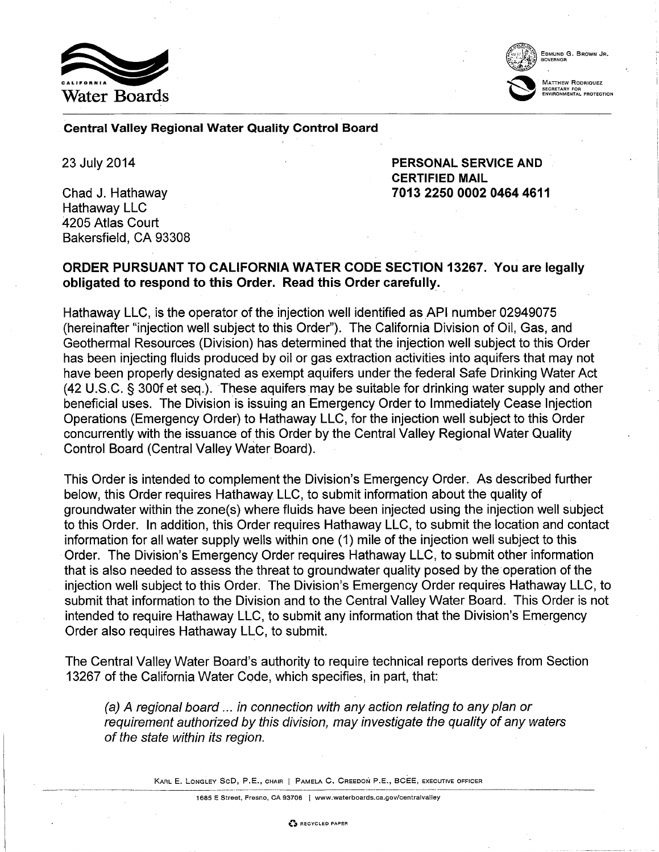



## Central Valley Regional Water Quality Control Board

23 July 2014

Chad J. Hathaway Hathaway LLC 4205 Atlas Court Bakersfield, CA 93308 PERSONAL SERVICE AND CERTIFIED MAIL 7013 2250 0002 0464 4611

## ORDER PURSUANT TO CALIFORNIA WATER CODE SECTION 13267. You are legally obligated to respond to this Order. Read this Order carefully.

Hathaway LLC, is the operator of the injection well identified as API number 02949075 (hereinafter "injection well subject to this Order"). The California Division of Oil, Gas, and Geothermal Resources (Division) has determined that the injection well subject to this Order has been injecting fluids produced by oil or gas extraction activities into aquifers that may not have been properly designated as exempt aquifers under the federal Safe Drinking Water Act (42 U.S.C. § 300f et seq.). These aquifers may be suitable for drinking water supply and other beneficial uses. The Division is issuing an Emergency Order to Immediately Cease Injection Operations (Emergency Order) to Hathaway LLC, for the injection well subject to this Order concurrently with the issuance of this Order by the Central Valley Regional Water Quality Control Board (Central Valley Water Board).

This Order is intended to complement the Division's Emergency Order. As described further below, this Order requires Hathaway LLC, to submit information about the quality of groundwater within the zone(s) where fluids have been injected using the injection well subject to this Order. In addition, this Order requires Hathaway LLC, to submit the location and contact information for all water supply wells within one (1) mile of the injection well subject to this Order. The Division's Emergency Order requires Hathaway LLC, to submit other information that is also needed to assess the threat to groundwater quality posed by the operation of the injection well subject to this Order. The Division's Emergency Order requires Hathaway LLC, to submit that information to the Division and to the Central Valley Water Board. This Order is not intended to require Hathaway LLC, to submit any information that the Division's Emergency Order also requires Hathaway LLC, to submit.

The Central Valley Water Board's authority to require technical reports derives from Section 13267 of the California Water Code, which specifies, in part, that:

(a) A regional board ... in connection with any action relating to any plan or requirement authorized by this division, may investigate the quality of any waters of the state within its region.

KARL E. LONGLEY SeD, P.E., CHAIR I PAMELA C. CREEDON P.E., BCEE, EXECUTIVE OFFICER

1685 E Street, Fresno, CA 93706 I www.waterboards.ca.gov/centralvalley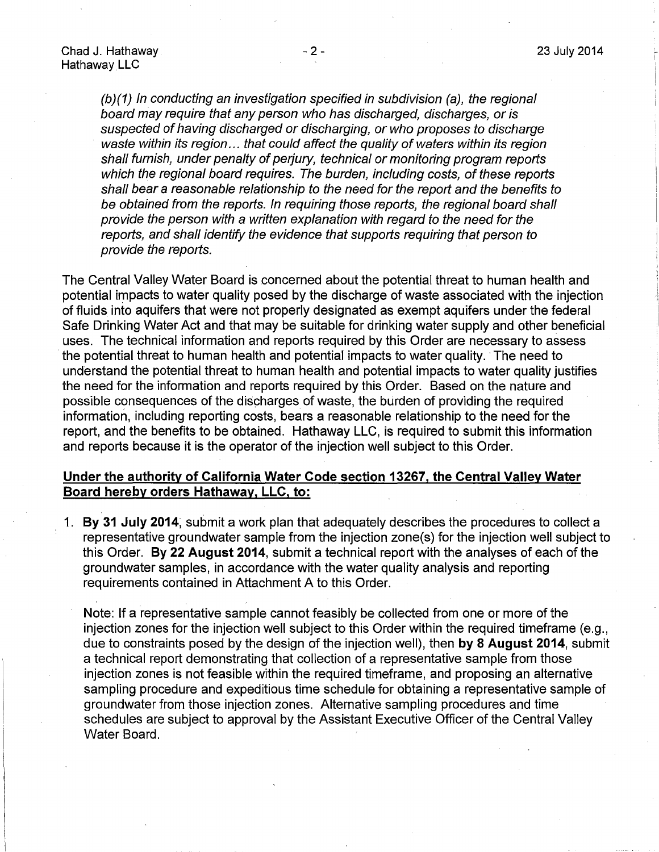(b)(1) In conducting an investigation specified in subdivision (a), the regional board may require that any person who has discharged, discharges, or is suspected of having discharged or discharging, or who proposes to discharge waste within its region... that could affect the quality of waters within its region shall furnish, under penalty of perjury, technical or monitoring program reports which the regional board requires. The burden, including costs, of these reports shall bear a reasonable relationship to the need for the report and the benefits to be obtained from the reports. In requiring those reports, the regional board shall provide the person with a written explanation with regard to the need for the reports, and shall identify the evidence that supports requiring that person to provide the reports.

The Central Valley Water Board is concerned about the potential threat to human health and potential impacts to water quality posed by the discharge of waste associated with the injection of fluids into aquifers that were not properly designated as exempt aquifers under the federal Safe Drinking Water Act and that may be suitable for drinking water supply and other beneficial uses. The technical information and reports required by this Order are necessary to assess the potential threat to human health and potential impacts to water quality. ·The need to understand the potential threat to human health and potential impacts to water quality justifies the need for the information and reports required by this Order. Based on the nature and possible consequences of the discharges of waste, the burden of providing the required information, including reporting costs, bears a reasonable relationship to the need for the report, and the benefits to be obtained. Hathaway LLC, is required to submit this information and reports because it is the operator of the injection well subject to this Order.

## **Under the authority of California Water Code section 13267, the Central Valley Water Board hereby orders Hathaway, LLC, to:**

1. **By 31 July 2014;** submit a work plan that adequately describes the procedures to collect a representative groundwater sample from the injection zone(s) for the injection well subject to this Order. **By 22 August 2014,** submit a technical report with the analyses of each of the groundwater samples, in accordance with the water quality analysis and reporting requirements contained in Attachment A to this Order.

Note: If a representative sample cannot feasibly be collected from one or more of the injection zones for the injection well subject to this Order within the required timeframe (e.g., due to constraints posed by the design of the injection well), then **by 8 August 2014,** submit a technical report demonstrating that collection of a representative sample from those injection zones is not feasible within the required timeframe, and proposing an alternative sampling procedure and expeditious time schedule for obtaining a representative sample of groundwater from those injection zones. Alternative sampling procedures and time schedules are subject to approval by the Assistant Executive Officer of the Central Valley Water Board.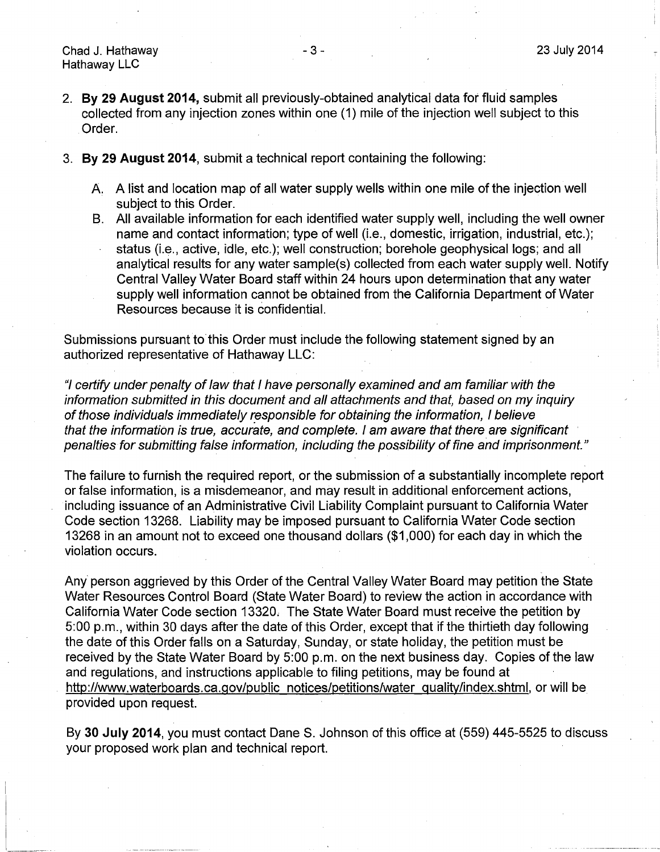- 2. **By 29 August 2014,** submit all previously-obtained analytical data for fluid samples collected from any injection zones within one (1) mile of the injection well subject to this Order.
- 3. **By 29 August 2014,** submit a technical report containing the following:
	- A. A list and location map of all water supply wells within one mile of the injection well subject to this Order.
	- B. All available information for each identified water supply well, including the well owner name and contact information; type of well (i.e., domestic, irrigation, industrial, etc.); status (i.e., active, idle, etc.); well construction; borehole geophysical logs; and all analytical results for any water sample(s) collected from each water supply well. Notify
		- Central Valley Water Board staff within 24 hours upon determination that any water supply well information cannot be obtained from the California Department of Water Resources because it is confidential.

Submissions pursuant to this Order must include the following statement signed by an authorized representative of Hathaway LLC:

"I certify under penalty of Jaw that I have personally examined and am familiar with the information submitted in this document and all attachments and that, based on my inquiry of those individuals immediately responsible for obtaining the information, I believe that the information is true, accurate, and complete. I am aware that there are significant penalties for submitting false information, including the possibility of fine and imprisonment."

The failure to furnish the required report, or the submission of a substantially incomplete report or false information, is a misdemeanor, and may result in additional enforcement actions, including issuance of an Administrative Civil Liability Complaint pursuant to California Water Code section 13268. Liability may be imposed pursuant to California Water Code section 13268 in an amount not to exceed one thousand dollars (\$1 ,000) for each day in which the violation occurs.

Any person aggrieved by this Order of the Central Valley Water Board may petition the State Water Resources Control Board (State Water Board) to review the action in accordance with California Water Code section 13320, The State Water Board must receive the petition by 5:00 p.m., within 30 days after the date of this Order, except that if the thirtieth day following the date of this Order falls on a Saturday, Sunday, or state holiday, the petition must be received by the State Water Board by 5:00 p.m. on the next business day. Copies of the law and regulations, and instructions applicable to filing petitions, may be found at http://www.waterboards.ca.gov/public notices/petitions/water quality/index.shtml, or will be provided upon request.

By 30 July 2014, you must contact Dane S. Johnson of this office at (559) 445-5525 to discuss your proposed work plan and technical report.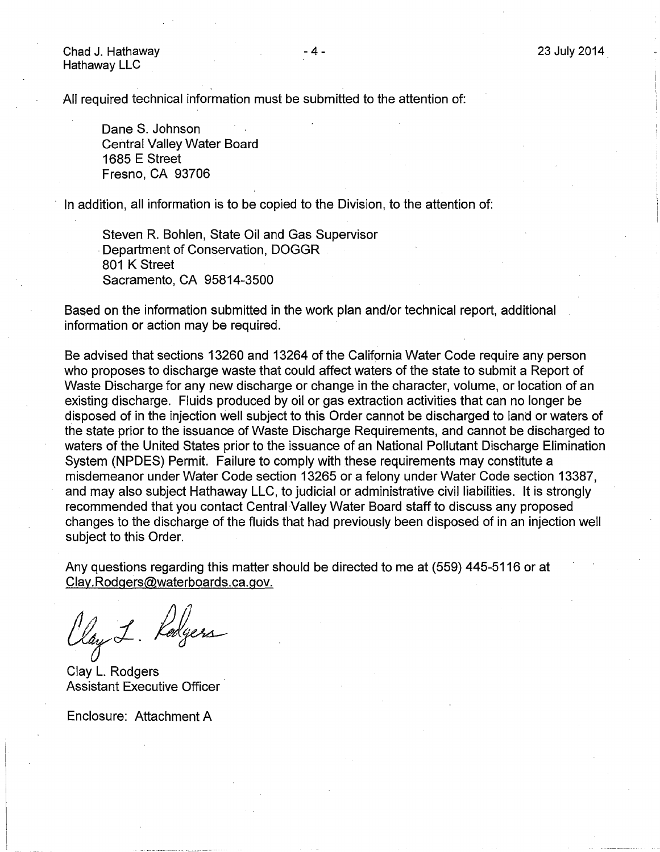Chad J. Hathaway Hathaway LLC

All required technical information must be submitted to the attention of:

Dane S. Johnson Central Valley Water Board 1685 E Street Fresno, CA 93706

In addition, all information is to be copied to the Division, to the attention of:

Steven R. Bohlen, State Oil and Gas Supervisor Department of Conservation, DOGGR 801 K Street Sacramento, CA 95814-3500

Based on the information submitted in the work plan and/or technical report, additional information or action may be required.

Be advised that sections 13260 and 13264 of the California Water Code require any person who proposes to discharge waste that could affect waters of the state to submit a Report of Waste Discharge for any new discharge or change in the character, volume, or location of an existing discharge. Fluids produced by oil or gas extraction activities that can no longer be disposed of in the injection well subject to this Order cannot be discharged to land or waters of the state prior to the issuance of Waste Discharge Requirements, and cannot be discharged to waters of the United States prior to the issuance of an National Pollutant Discharge Elimination System (NPDES) Permit. Failure to comply with these requirements may constitute a misdemeanor under Water Code section 13265 or a felony under Water Code section 13387, and may also subject Hathaway LLC, to judicial or administrative civil liabilities. It is strongly recommended that you contact Central Valley Water Board staff to discuss any proposed changes to the discharge of the fluids that had previously been disposed of in an injection well subject to this Order.

Any questions regarding this matter should be directed to me at (559) 445-5116 or at Clay. Rodgers@waterboards. ca.gov.

May 1. Redgen

Clay L. Rodgers Assistant Executive Officer

Enclosure: Attachment A